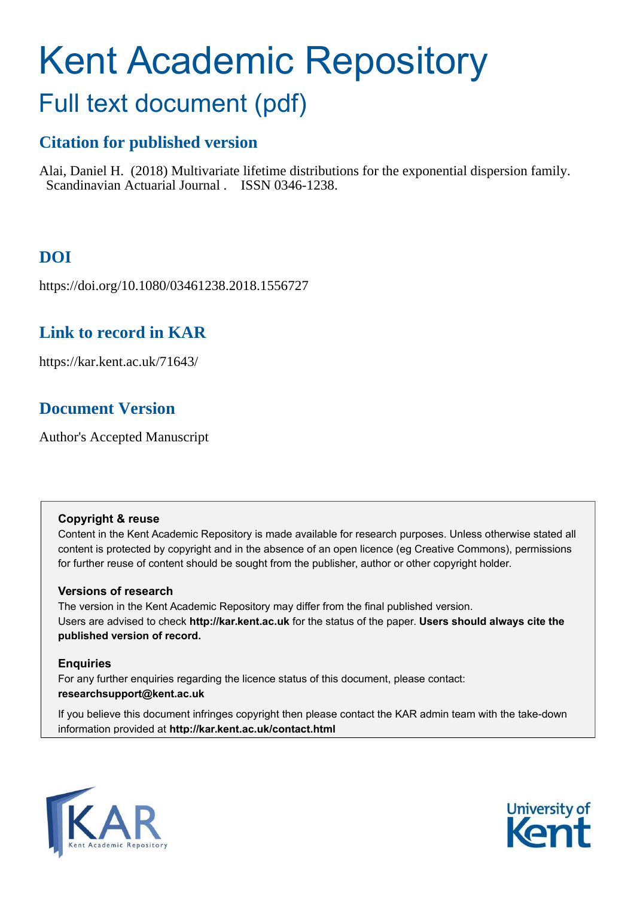# Kent Academic Repository

## Full text document (pdf)

## **Citation for published version**

Alai, Daniel H. (2018) Multivariate lifetime distributions for the exponential dispersion family. Scandinavian Actuarial Journal . ISSN 0346-1238.

## **DOI**

https://doi.org/10.1080/03461238.2018.1556727

## **Link to record in KAR**

https://kar.kent.ac.uk/71643/

## **Document Version**

Author's Accepted Manuscript

#### **Copyright & reuse**

Content in the Kent Academic Repository is made available for research purposes. Unless otherwise stated all content is protected by copyright and in the absence of an open licence (eg Creative Commons), permissions for further reuse of content should be sought from the publisher, author or other copyright holder.

#### **Versions of research**

The version in the Kent Academic Repository may differ from the final published version. Users are advised to check **http://kar.kent.ac.uk** for the status of the paper. **Users should always cite the published version of record.**

#### **Enquiries**

For any further enquiries regarding the licence status of this document, please contact: **researchsupport@kent.ac.uk**

If you believe this document infringes copyright then please contact the KAR admin team with the take-down information provided at **http://kar.kent.ac.uk/contact.html**



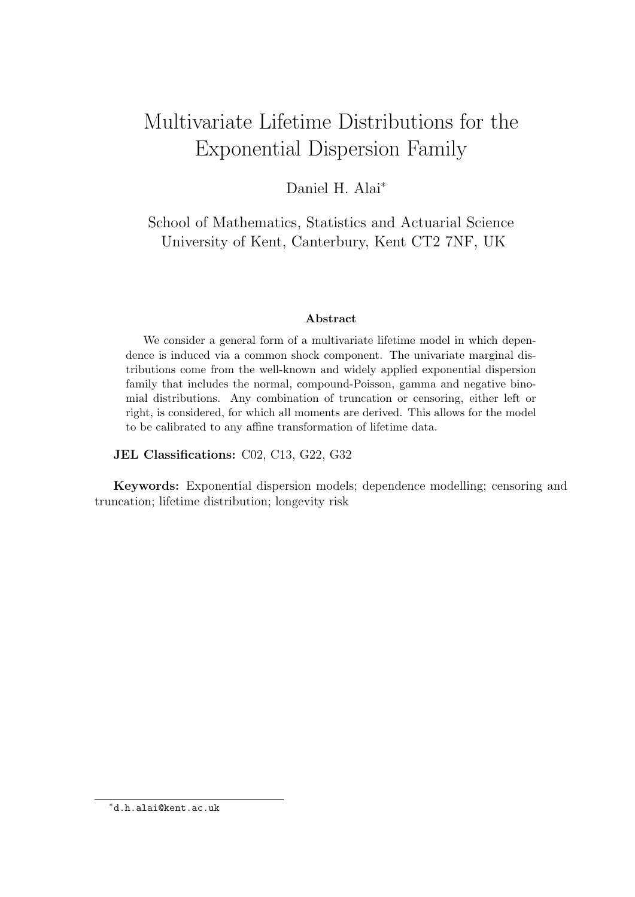## Multivariate Lifetime Distributions for the Exponential Dispersion Family

Daniel H. Alai<sup>∗</sup>

School of Mathematics, Statistics and Actuarial Science University of Kent, Canterbury, Kent CT2 7NF, UK

#### Abstract

We consider a general form of a multivariate lifetime model in which dependence is induced via a common shock component. The univariate marginal distributions come from the well-known and widely applied exponential dispersion family that includes the normal, compound-Poisson, gamma and negative binomial distributions. Any combination of truncation or censoring, either left or right, is considered, for which all moments are derived. This allows for the model to be calibrated to any affine transformation of lifetime data.

JEL Classifications: C02, C13, G22, G32

Keywords: Exponential dispersion models; dependence modelling; censoring and truncation; lifetime distribution; longevity risk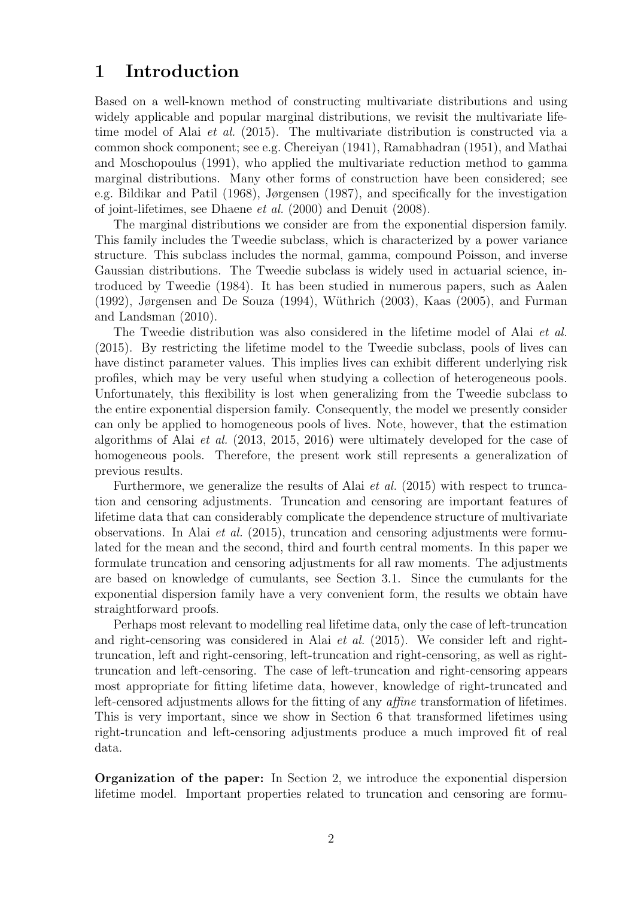## 1 Introduction

Based on a well-known method of constructing multivariate distributions and using widely applicable and popular marginal distributions, we revisit the multivariate lifetime model of Alai et al. (2015). The multivariate distribution is constructed via a common shock component; see e.g. Chereiyan (1941), Ramabhadran (1951), and Mathai and Moschopoulus (1991), who applied the multivariate reduction method to gamma marginal distributions. Many other forms of construction have been considered; see e.g. Bildikar and Patil (1968), Jørgensen (1987), and specifically for the investigation of joint-lifetimes, see Dhaene et al. (2000) and Denuit (2008).

The marginal distributions we consider are from the exponential dispersion family. This family includes the Tweedie subclass, which is characterized by a power variance structure. This subclass includes the normal, gamma, compound Poisson, and inverse Gaussian distributions. The Tweedie subclass is widely used in actuarial science, introduced by Tweedie (1984). It has been studied in numerous papers, such as Aalen  $(1992)$ , Jørgensen and De Souza  $(1994)$ , Wüthrich  $(2003)$ , Kaas  $(2005)$ , and Furman and Landsman (2010).

The Tweedie distribution was also considered in the lifetime model of Alai *et al.* (2015). By restricting the lifetime model to the Tweedie subclass, pools of lives can have distinct parameter values. This implies lives can exhibit different underlying risk profiles, which may be very useful when studying a collection of heterogeneous pools. Unfortunately, this flexibility is lost when generalizing from the Tweedie subclass to the entire exponential dispersion family. Consequently, the model we presently consider can only be applied to homogeneous pools of lives. Note, however, that the estimation algorithms of Alai et al. (2013, 2015, 2016) were ultimately developed for the case of homogeneous pools. Therefore, the present work still represents a generalization of previous results.

Furthermore, we generalize the results of Alai et al. (2015) with respect to truncation and censoring adjustments. Truncation and censoring are important features of lifetime data that can considerably complicate the dependence structure of multivariate observations. In Alai et al. (2015), truncation and censoring adjustments were formulated for the mean and the second, third and fourth central moments. In this paper we formulate truncation and censoring adjustments for all raw moments. The adjustments are based on knowledge of cumulants, see Section 3.1. Since the cumulants for the exponential dispersion family have a very convenient form, the results we obtain have straightforward proofs.

Perhaps most relevant to modelling real lifetime data, only the case of left-truncation and right-censoring was considered in Alai et al. (2015). We consider left and righttruncation, left and right-censoring, left-truncation and right-censoring, as well as righttruncation and left-censoring. The case of left-truncation and right-censoring appears most appropriate for fitting lifetime data, however, knowledge of right-truncated and left-censored adjustments allows for the fitting of any affine transformation of lifetimes. This is very important, since we show in Section 6 that transformed lifetimes using right-truncation and left-censoring adjustments produce a much improved fit of real data.

Organization of the paper: In Section 2, we introduce the exponential dispersion lifetime model. Important properties related to truncation and censoring are formu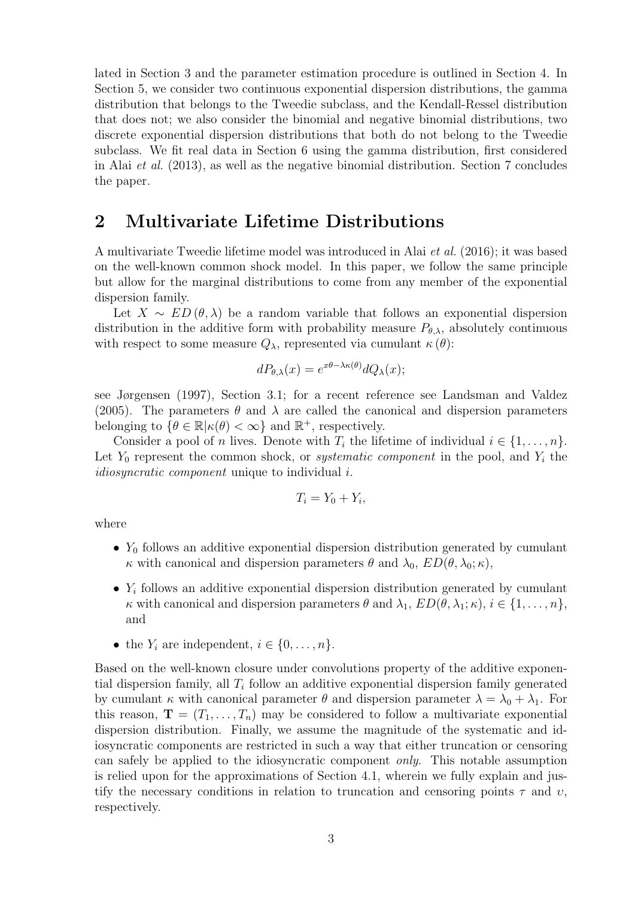lated in Section 3 and the parameter estimation procedure is outlined in Section 4. In Section 5, we consider two continuous exponential dispersion distributions, the gamma distribution that belongs to the Tweedie subclass, and the Kendall-Ressel distribution that does not; we also consider the binomial and negative binomial distributions, two discrete exponential dispersion distributions that both do not belong to the Tweedie subclass. We fit real data in Section 6 using the gamma distribution, first considered in Alai et al. (2013), as well as the negative binomial distribution. Section 7 concludes the paper.

#### 2 Multivariate Lifetime Distributions

A multivariate Tweedie lifetime model was introduced in Alai et al. (2016); it was based on the well-known common shock model. In this paper, we follow the same principle but allow for the marginal distributions to come from any member of the exponential dispersion family.

Let  $X \sim ED(\theta, \lambda)$  be a random variable that follows an exponential dispersion distribution in the additive form with probability measure  $P_{\theta,\lambda}$ , absolutely continuous with respect to some measure  $Q_{\lambda}$ , represented via cumulant  $\kappa(\theta)$ :

$$
dP_{\theta,\lambda}(x) = e^{x\theta - \lambda \kappa(\theta)} dQ_{\lambda}(x);
$$

see Jørgensen (1997), Section 3.1; for a recent reference see Landsman and Valdez (2005). The parameters  $\theta$  and  $\lambda$  are called the canonical and dispersion parameters belonging to  $\{\theta \in \mathbb{R} | \kappa(\theta) < \infty\}$  and  $\mathbb{R}^+$ , respectively.

Consider a pool of n lives. Denote with  $T_i$  the lifetime of individual  $i \in \{1, \ldots, n\}$ . Let  $Y_0$  represent the common shock, or *systematic component* in the pool, and  $Y_i$  the idiosyncratic component unique to individual i.

$$
T_i = Y_0 + Y_i,
$$

where

- $Y_0$  follows an additive exponential dispersion distribution generated by cumulant κ with canonical and dispersion parameters θ and  $\lambda_0$ ,  $ED(\theta, \lambda_0; \kappa)$ ,
- $Y_i$  follows an additive exponential dispersion distribution generated by cumulant κ with canonical and dispersion parameters  $\theta$  and  $\lambda_1$ ,  $ED(\theta, \lambda_1; \kappa), i \in \{1, \ldots, n\}$ , and
- the  $Y_i$  are independent,  $i \in \{0, \ldots, n\}.$

Based on the well-known closure under convolutions property of the additive exponential dispersion family, all  $T_i$  follow an additive exponential dispersion family generated by cumulant  $\kappa$  with canonical parameter  $\theta$  and dispersion parameter  $\lambda = \lambda_0 + \lambda_1$ . For this reason,  $\mathbf{T} = (T_1, \ldots, T_n)$  may be considered to follow a multivariate exponential dispersion distribution. Finally, we assume the magnitude of the systematic and idiosyncratic components are restricted in such a way that either truncation or censoring can safely be applied to the idiosyncratic component only. This notable assumption is relied upon for the approximations of Section 4.1, wherein we fully explain and justify the necessary conditions in relation to truncation and censoring points  $\tau$  and  $\upsilon$ , respectively.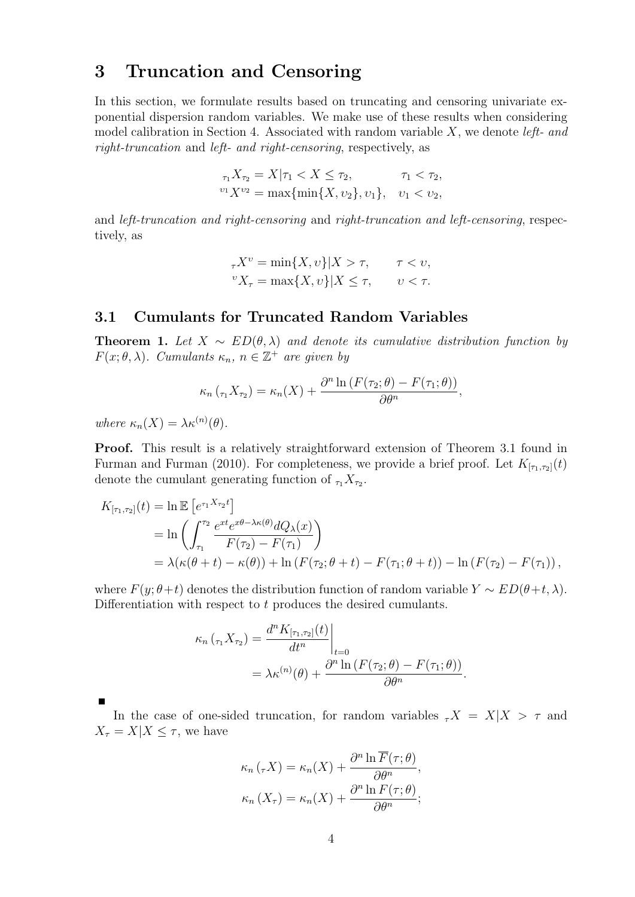## 3 Truncation and Censoring

In this section, we formulate results based on truncating and censoring univariate exponential dispersion random variables. We make use of these results when considering model calibration in Section 4. Associated with random variable  $X$ , we denote *left-* and right-truncation and left- and right-censoring, respectively, as

$$
\tau_1 X_{\tau_2} = X | \tau_1 < X \le \tau_2, \qquad \tau_1 < \tau_2,
$$
\n
$$
\begin{aligned}\n & v_1 X^{v_2} = \max\{\min\{X, v_2\}, v_1\}, \quad v_1 < v_2,\n \end{aligned}
$$

and left-truncation and right-censoring and right-truncation and left-censoring, respectively, as

$$
\tau X^{\nu} = \min\{X, \nu\} | X > \tau, \qquad \tau < \nu,
$$
  

$$
{}^{\nu}X_{\tau} = \max\{X, \nu\} | X \leq \tau, \qquad \nu < \tau.
$$

#### 3.1 Cumulants for Truncated Random Variables

**Theorem 1.** Let  $X \sim ED(\theta, \lambda)$  and denote its cumulative distribution function by  $F(x; \theta, \lambda)$ . Cumulants  $\kappa_n$ ,  $n \in \mathbb{Z}^+$  are given by

$$
\kappa_n(\tau_1 X_{\tau_2}) = \kappa_n(X) + \frac{\partial^n \ln \left( F(\tau_2; \theta) - F(\tau_1; \theta) \right)}{\partial \theta^n},
$$

where  $\kappa_n(X) = \lambda \kappa^{(n)}(\theta)$ .

Proof. This result is a relatively straightforward extension of Theorem 3.1 found in Furman and Furman (2010). For completeness, we provide a brief proof. Let  $K_{[\tau_1,\tau_2]}(t)$ denote the cumulant generating function of  $_{\tau_1} X_{\tau_2}$ .

$$
K_{[\tau_1,\tau_2]}(t) = \ln \mathbb{E} \left[ e^{\tau_1 X_{\tau_2}t} \right]
$$
  
= 
$$
\ln \left( \int_{\tau_1}^{\tau_2} \frac{e^{xt} e^{x\theta - \lambda \kappa(\theta)} dQ_{\lambda}(x)}{F(\tau_2) - F(\tau_1)} \right)
$$
  
= 
$$
\lambda(\kappa(\theta + t) - \kappa(\theta)) + \ln \left( F(\tau_2; \theta + t) - F(\tau_1; \theta + t) \right) - \ln \left( F(\tau_2) - F(\tau_1) \right),
$$

where  $F(y; \theta + t)$  denotes the distribution function of random variable  $Y \sim ED(\theta + t, \lambda)$ . Differentiation with respect to t produces the desired cumulants.

$$
\kappa_n(\tau_1 X_{\tau_2}) = \frac{d^n K_{[\tau_1, \tau_2]}(t)}{dt^n}\Big|_{t=0}
$$
  
=  $\lambda \kappa^{(n)}(\theta) + \frac{\partial^n \ln (F(\tau_2; \theta) - F(\tau_1; \theta))}{\partial \theta^n}.$ 

In the case of one-sided truncation, for random variables  $\tau X = X|X| > \tau$  and  $X_{\tau} = X | X \leq \tau$ , we have

$$
\kappa_n(\tau X) = \kappa_n(X) + \frac{\partial^n \ln \overline{F}(\tau;\theta)}{\partial \theta^n},
$$

$$
\kappa_n(X_\tau) = \kappa_n(X) + \frac{\partial^n \ln F(\tau;\theta)}{\partial \theta^n};
$$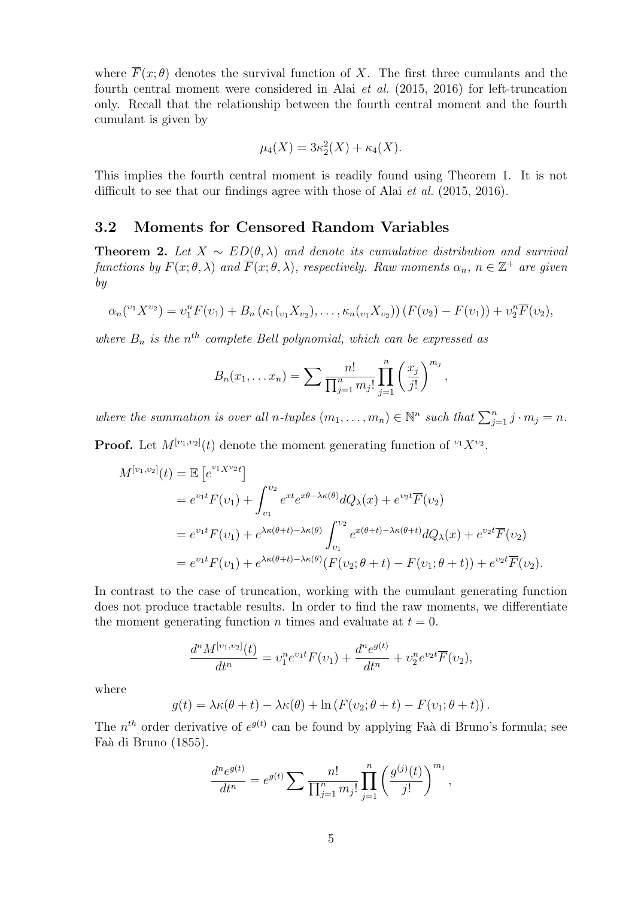where  $\overline{F}(x;\theta)$  denotes the survival function of X. The first three cumulants and the fourth central moment were considered in Alai et al. (2015, 2016) for left-truncation only. Recall that the relationship between the fourth central moment and the fourth cumulant is given by

$$
\mu_4(X) = 3\kappa_2^2(X) + \kappa_4(X).
$$

This implies the fourth central moment is readily found using Theorem 1. It is not difficult to see that our findings agree with those of Alai *et al.* (2015, 2016).

#### 3.2 Moments for Censored Random Variables

**Theorem 2.** Let  $X \sim ED(\theta, \lambda)$  and denote its cumulative distribution and survival functions by  $F(x; \theta, \lambda)$  and  $\overline{F}(x; \theta, \lambda)$ , respectively. Raw moments  $\alpha_n$ ,  $n \in \mathbb{Z}^+$  are given by

$$
\alpha_n({}^{v_1}X^{v_2}) = v_1^n F(v_1) + B_n (\kappa_1({}_{v_1}X_{v_2}), \ldots, \kappa_n({}_{v_1}X_{v_2})) (F(v_2) - F(v_1)) + v_2^n \overline{F}(v_2),
$$

where  $B_n$  is the n<sup>th</sup> complete Bell polynomial, which can be expressed as

$$
B_n(x_1,... x_n) = \sum \frac{n!}{\prod_{j=1}^n m_j!} \prod_{j=1}^n \left(\frac{x_j}{j!}\right)^{m_j},
$$

where the summation is over all n-tuples  $(m_1, \ldots, m_n) \in \mathbb{N}^n$  such that  $\sum_{j=1}^n j \cdot m_j = n$ .

**Proof.** Let  $M^{[v_1, v_2]}(t)$  denote the moment generating function of  $^{v_1}X^{v_2}$ .

$$
M^{[v_1, v_2]}(t) = \mathbb{E} \left[ e^{v_1 X^{v_2} t} \right]
$$
  
=  $e^{v_1 t} F(v_1) + \int_{v_1}^{v_2} e^{xt} e^{x\theta - \lambda \kappa(\theta)} dQ_{\lambda}(x) + e^{v_2 t} \overline{F}(v_2)$   
=  $e^{v_1 t} F(v_1) + e^{\lambda \kappa(\theta + t) - \lambda \kappa(\theta)} \int_{v_1}^{v_2} e^{x(\theta + t) - \lambda \kappa(\theta + t)} dQ_{\lambda}(x) + e^{v_2 t} \overline{F}(v_2)$   
=  $e^{v_1 t} F(v_1) + e^{\lambda \kappa(\theta + t) - \lambda \kappa(\theta)} (F(v_2; \theta + t) - F(v_1; \theta + t)) + e^{v_2 t} \overline{F}(v_2).$ 

In contrast to the case of truncation, working with the cumulant generating function does not produce tractable results. In order to find the raw moments, we differentiate the moment generating function *n* times and evaluate at  $t = 0$ .

$$
\frac{d^{n}M^{[v_1,v_2]}(t)}{dt^{n}} = v_1^{n}e^{v_1t}F(v_1) + \frac{d^{n}e^{g(t)}}{dt^{n}} + v_2^{n}e^{v_2t}\overline{F}(v_2),
$$

where

$$
g(t) = \lambda \kappa(\theta + t) - \lambda \kappa(\theta) + \ln (F(v_2; \theta + t) - F(v_1; \theta + t)).
$$

The  $n^{th}$  order derivative of  $e^{g(t)}$  can be found by applying Faà di Bruno's formula; see Faà di Bruno (1855).

$$
\frac{d^n e^{g(t)}}{dt^n} = e^{g(t)} \sum \frac{n!}{\prod_{j=1}^n m_j!} \prod_{j=1}^n \left(\frac{g^{(j)}(t)}{j!}\right)^{m_j},
$$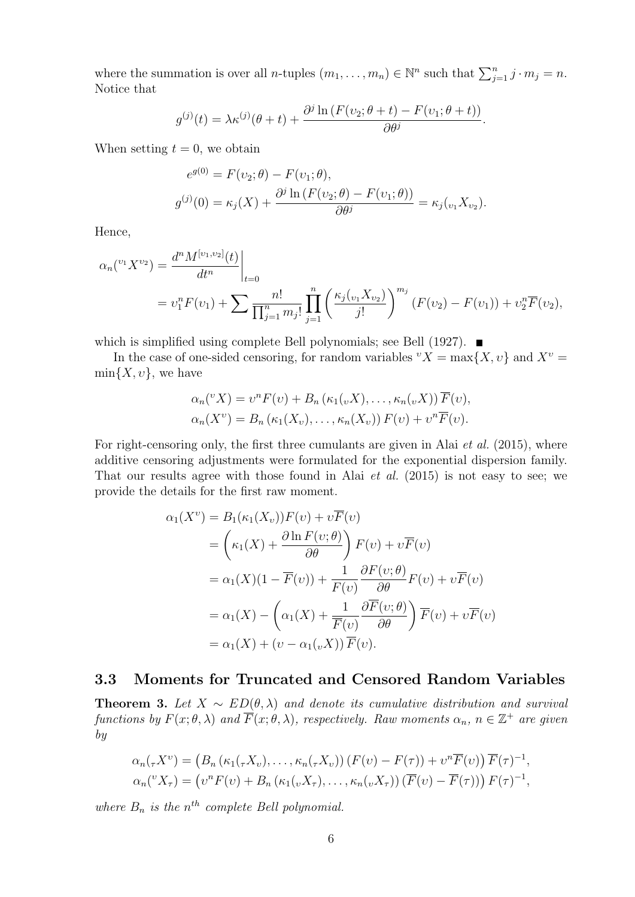where the summation is over all *n*-tuples  $(m_1, \ldots, m_n) \in \mathbb{N}^n$  such that  $\sum_{j=1}^n j \cdot m_j = n$ . Notice that

$$
g^{(j)}(t) = \lambda \kappa^{(j)}(\theta + t) + \frac{\partial^j \ln (F(v_2; \theta + t) - F(v_1; \theta + t))}{\partial \theta^j}.
$$

When setting  $t = 0$ , we obtain

$$
e^{g(0)} = F(\nu_2; \theta) - F(\nu_1; \theta),
$$
  

$$
g^{(j)}(0) = \kappa_j(X) + \frac{\partial^j \ln(F(\nu_2; \theta) - F(\nu_1; \theta))}{\partial \theta^j} = \kappa_j(\nu_1 X_{\nu_2}).
$$

Hence,

$$
\alpha_n({}^{v_1}X^{v_2}) = \frac{d^n M^{[v_1, v_2]}(t)}{dt^n} \Big|_{t=0}
$$
  
=  $v_1^n F(v_1) + \sum \frac{n!}{\prod_{j=1}^n m_j!} \prod_{j=1}^n \left(\frac{\kappa_j(v_1 X_{v_2})}{j!}\right)^{m_j} (F(v_2) - F(v_1)) + v_2^n \overline{F}(v_2),$ 

which is simplified using complete Bell polynomials; see Bell (1927).

In the case of one-sided censoring, for random variables  ${}^{v}X = \max\{X, v\}$  and  $X^{v} =$  $\min\{X, v\}$ , we have

$$
\alpha_n({}^v X) = v^n F(v) + B_n (\kappa_1({}_v X), \ldots, \kappa_n({}_v X)) \overline{F}(v),
$$
  

$$
\alpha_n(X^v) = B_n (\kappa_1(X_v), \ldots, \kappa_n(X_v)) F(v) + v^n \overline{F}(v).
$$

For right-censoring only, the first three cumulants are given in Alai *et al.* (2015), where additive censoring adjustments were formulated for the exponential dispersion family. That our results agree with those found in Alai et al. (2015) is not easy to see; we provide the details for the first raw moment.

$$
\alpha_1(X^{\nu}) = B_1(\kappa_1(X_{\nu}))F(\nu) + \nu \overline{F}(\nu)
$$
  
\n
$$
= \left(\kappa_1(X) + \frac{\partial \ln F(\nu;\theta)}{\partial \theta}\right) F(\nu) + \nu \overline{F}(\nu)
$$
  
\n
$$
= \alpha_1(X)(1 - \overline{F}(\nu)) + \frac{1}{F(\nu)} \frac{\partial F(\nu;\theta)}{\partial \theta} F(\nu) + \nu \overline{F}(\nu)
$$
  
\n
$$
= \alpha_1(X) - \left(\alpha_1(X) + \frac{1}{\overline{F}(\nu)} \frac{\partial \overline{F}(\nu;\theta)}{\partial \theta}\right) \overline{F}(\nu) + \nu \overline{F}(\nu)
$$
  
\n
$$
= \alpha_1(X) + (\nu - \alpha_1(\nu X)) \overline{F}(\nu).
$$

#### 3.3 Moments for Truncated and Censored Random Variables

**Theorem 3.** Let  $X \sim ED(\theta, \lambda)$  and denote its cumulative distribution and survival functions by  $F(x; \theta, \lambda)$  and  $\overline{F}(x; \theta, \lambda)$ , respectively. Raw moments  $\alpha_n$ ,  $n \in \mathbb{Z}^+$  are given by

$$
\alpha_n(\tau X^{\nu}) = (B_n(\kappa_1(\tau X_{\nu}), \dots, \kappa_n(\tau X_{\nu})) (F(\nu) - F(\tau)) + \nu^n \overline{F}(\nu)) \overline{F}(\tau)^{-1},
$$
  

$$
\alpha_n({}^{\nu}X_{\tau}) = (\nu^n F(\nu) + B_n(\kappa_1(\nu X_{\tau}), \dots, \kappa_n(\nu X_{\tau})) (\overline{F}(\nu) - \overline{F}(\tau))) F(\tau)^{-1},
$$

where  $B_n$  is the  $n^{th}$  complete Bell polynomial.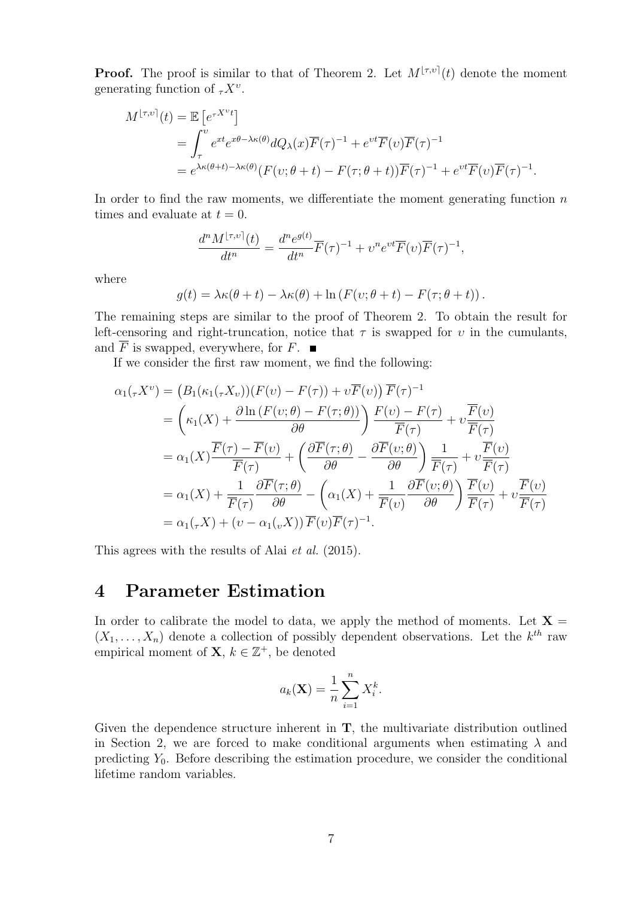**Proof.** The proof is similar to that of Theorem 2. Let  $M^{[\tau,\nu]}(t)$  denote the moment generating function of  ${}_{\tau}X^{\nu}$ .

$$
M^{\lfloor \tau, \upsilon \rceil}(t) = \mathbb{E} \left[ e^{\tau X^{\upsilon} t} \right]
$$
  
= 
$$
\int_{\tau}^{\upsilon} e^{xt} e^{x\theta - \lambda \kappa(\theta)} dQ_{\lambda}(x) \overline{F}(\tau)^{-1} + e^{\upsilon t} \overline{F}(\upsilon) \overline{F}(\tau)^{-1}
$$
  
= 
$$
e^{\lambda \kappa(\theta + t) - \lambda \kappa(\theta)} (F(\upsilon; \theta + t) - F(\tau; \theta + t)) \overline{F}(\tau)^{-1} + e^{\upsilon t} \overline{F}(\upsilon) \overline{F}(\tau)^{-1}.
$$

In order to find the raw moments, we differentiate the moment generating function  $n$ times and evaluate at  $t = 0$ .

$$
\frac{d^n M^{\lfloor \tau, v \rfloor}(t)}{dt^n} = \frac{d^n e^{g(t)}}{dt^n} \overline{F}(\tau)^{-1} + v^n e^{vt} \overline{F}(v) \overline{F}(\tau)^{-1},
$$

where

$$
g(t) = \lambda \kappa(\theta + t) - \lambda \kappa(\theta) + \ln (F(v; \theta + t) - F(\tau; \theta + t)).
$$

The remaining steps are similar to the proof of Theorem 2. To obtain the result for left-censoring and right-truncation, notice that  $\tau$  is swapped for  $\upsilon$  in the cumulants, and  $\overline{F}$  is swapped, everywhere, for  $F$ .

If we consider the first raw moment, we find the following:

$$
\alpha_1(\tau X^{\nu}) = (B_1(\kappa_1(\tau X_{\nu}))(F(\nu) - F(\tau)) + \nu \overline{F}(\nu)) \overline{F}(\tau)^{-1}
$$
  
\n
$$
= \left(\kappa_1(X) + \frac{\partial \ln(F(\nu; \theta) - F(\tau; \theta))}{\partial \theta}\right) \frac{F(\nu) - F(\tau)}{\overline{F}(\tau)} + \nu \frac{\overline{F}(\nu)}{\overline{F}(\tau)}
$$
  
\n
$$
= \alpha_1(X) \frac{\overline{F}(\tau) - \overline{F}(\nu)}{\overline{F}(\tau)} + \left(\frac{\partial \overline{F}(\tau; \theta)}{\partial \theta} - \frac{\partial \overline{F}(\nu; \theta)}{\partial \theta}\right) \frac{1}{\overline{F}(\tau)} + \nu \frac{\overline{F}(\nu)}{\overline{F}(\tau)}
$$
  
\n
$$
= \alpha_1(X) + \frac{1}{\overline{F}(\tau)} \frac{\partial \overline{F}(\tau; \theta)}{\partial \theta} - \left(\alpha_1(X) + \frac{1}{\overline{F}(\nu)} \frac{\partial \overline{F}(\nu; \theta)}{\partial \theta}\right) \frac{\overline{F}(\nu)}{\overline{F}(\tau)} + \nu \frac{\overline{F}(\nu)}{\overline{F}(\tau)}
$$
  
\n
$$
= \alpha_1(\tau X) + (\nu - \alpha_1(\nu X)) \overline{F}(\nu) \overline{F}(\tau)^{-1}.
$$

This agrees with the results of Alai et al. (2015).

## 4 Parameter Estimation

In order to calibrate the model to data, we apply the method of moments. Let  $X =$  $(X_1, \ldots, X_n)$  denote a collection of possibly dependent observations. Let the  $k^{th}$  raw empirical moment of  $X, k \in \mathbb{Z}^+$ , be denoted

$$
a_k(\mathbf{X}) = \frac{1}{n} \sum_{i=1}^n X_i^k.
$$

Given the dependence structure inherent in T, the multivariate distribution outlined in Section 2, we are forced to make conditional arguments when estimating  $\lambda$  and predicting  $Y_0$ . Before describing the estimation procedure, we consider the conditional lifetime random variables.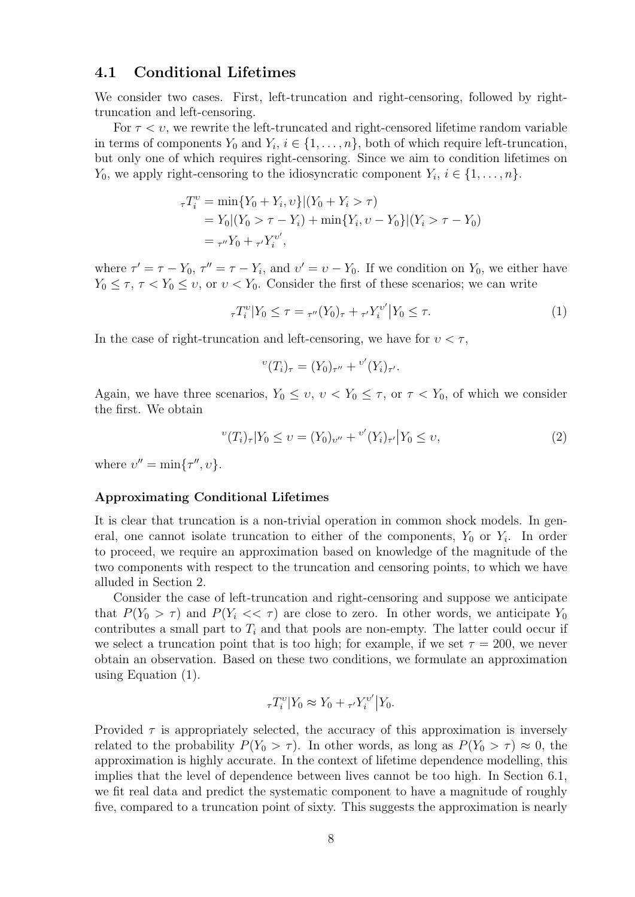#### 4.1 Conditional Lifetimes

We consider two cases. First, left-truncation and right-censoring, followed by righttruncation and left-censoring.

For  $\tau < v$ , we rewrite the left-truncated and right-censored lifetime random variable in terms of components  $Y_0$  and  $Y_i$ ,  $i \in \{1, \ldots, n\}$ , both of which require left-truncation, but only one of which requires right-censoring. Since we aim to condition lifetimes on  $Y_0$ , we apply right-censoring to the idiosyncratic component  $Y_i$ ,  $i \in \{1, \ldots, n\}$ .

$$
\tau T_i^v = \min\{Y_0 + Y_i, v\} | (Y_0 + Y_i > \tau)
$$
  
=  $Y_0 | (Y_0 > \tau - Y_i) + \min\{Y_i, v - Y_0\} | (Y_i > \tau - Y_0)$   
=  $\tau'' Y_0 + \tau' Y_i^{v'},$ 

where  $\tau' = \tau - Y_0$ ,  $\tau'' = \tau - Y_i$ , and  $v' = v - Y_0$ . If we condition on  $Y_0$ , we either have  $Y_0 \leq \tau$ ,  $\tau < Y_0 \leq \nu$ , or  $\nu < Y_0$ . Consider the first of these scenarios; we can write

$$
\tau T_i^{\nu} | Y_0 \le \tau = \tau''(Y_0)_{\tau} + \tau' Y_i^{\nu'} | Y_0 \le \tau.
$$
 (1)

In the case of right-truncation and left-censoring, we have for  $v < \tau$ ,

$$
{}^{v}(T_i)_{\tau} = (Y_0)_{\tau''} + {}^{v'}(Y_i)_{\tau'}.
$$

Again, we have three scenarios,  $Y_0 \leq v, v < Y_0 \leq \tau$ , or  $\tau < Y_0$ , of which we consider the first. We obtain

$$
{}^{v}(T_{i})_{\tau}|Y_{0} \leq v = (Y_{0})_{v''} + {}^{v'}(Y_{i})_{\tau'}|Y_{0} \leq v,
$$
\n<sup>(2)</sup>

where  $v'' = \min\{\tau'', v\}.$ 

#### Approximating Conditional Lifetimes

It is clear that truncation is a non-trivial operation in common shock models. In general, one cannot isolate truncation to either of the components,  $Y_0$  or  $Y_i$ . In order to proceed, we require an approximation based on knowledge of the magnitude of the two components with respect to the truncation and censoring points, to which we have alluded in Section 2.

Consider the case of left-truncation and right-censoring and suppose we anticipate that  $P(Y_0 > \tau)$  and  $P(Y_i << \tau)$  are close to zero. In other words, we anticipate  $Y_0$ contributes a small part to  $T_i$  and that pools are non-empty. The latter could occur if we select a truncation point that is too high; for example, if we set  $\tau = 200$ , we never obtain an observation. Based on these two conditions, we formulate an approximation using Equation (1).

$$
{}_{\tau}T_i^v|Y_0 \approx Y_0 + {}_{\tau'}Y_i^{v'}|Y_0.
$$

Provided  $\tau$  is appropriately selected, the accuracy of this approximation is inversely related to the probability  $P(Y_0 > \tau)$ . In other words, as long as  $P(Y_0 > \tau) \approx 0$ , the approximation is highly accurate. In the context of lifetime dependence modelling, this implies that the level of dependence between lives cannot be too high. In Section 6.1, we fit real data and predict the systematic component to have a magnitude of roughly five, compared to a truncation point of sixty. This suggests the approximation is nearly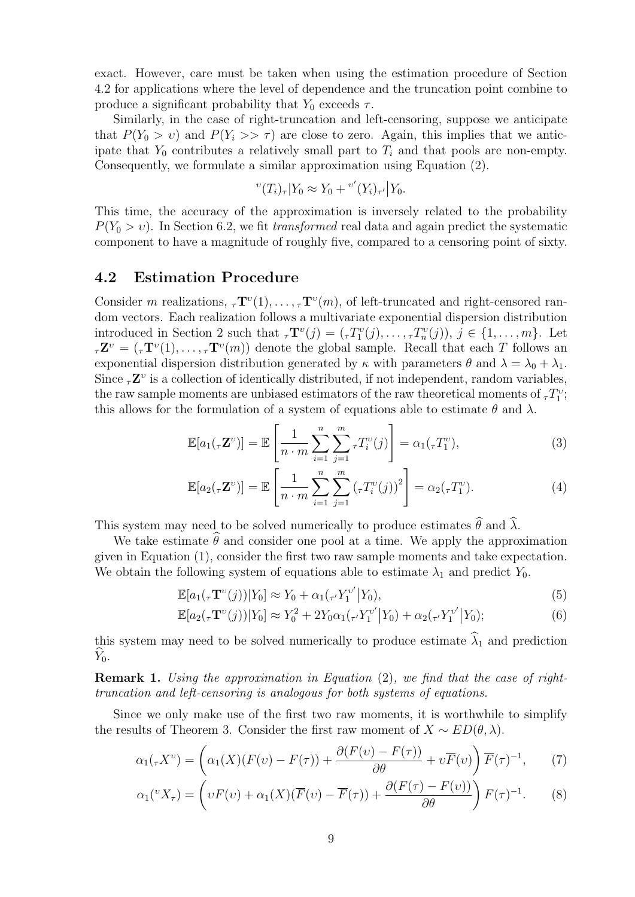exact. However, care must be taken when using the estimation procedure of Section 4.2 for applications where the level of dependence and the truncation point combine to produce a significant probability that  $Y_0$  exceeds  $\tau$ .

Similarly, in the case of right-truncation and left-censoring, suppose we anticipate that  $P(Y_0 > v)$  and  $P(Y_i >> \tau)$  are close to zero. Again, this implies that we anticipate that  $Y_0$  contributes a relatively small part to  $T_i$  and that pools are non-empty. Consequently, we formulate a similar approximation using Equation (2).

$$
{}^{v}(T_{i})_{\tau}|Y_{0} \approx Y_{0} + {}^{v'}(Y_{i})_{\tau'}|Y_{0}.
$$

This time, the accuracy of the approximation is inversely related to the probability  $P(Y_0 > v)$ . In Section 6.2, we fit transformed real data and again predict the systematic component to have a magnitude of roughly five, compared to a censoring point of sixty.

#### 4.2 Estimation Procedure

Consider m realizations,  ${}_{\tau}\mathbf{T}^v(1), \ldots, {}_{\tau}\mathbf{T}^v(m)$ , of left-truncated and right-censored random vectors. Each realization follows a multivariate exponential dispersion distribution introduced in Section 2 such that  ${}_{\tau}\mathbf{T}^v(j) = ({}_{\tau}T_1^v(j), \ldots, {}_{\tau}T_n^v(j)), j \in \{1, \ldots, m\}$ . Let  $\tau \mathbf{Z}^v = (\tau \mathbf{T}^v(1), \ldots, \tau \mathbf{T}^v(m))$  denote the global sample. Recall that each T follows an exponential dispersion distribution generated by  $\kappa$  with parameters  $\theta$  and  $\lambda = \lambda_0 + \lambda_1$ . Since  ${}_{\tau}\mathbf{Z}^v$  is a collection of identically distributed, if not independent, random variables, the raw sample moments are unbiased estimators of the raw theoretical moments of  ${}_{\tau}T_1^v$ ; this allows for the formulation of a system of equations able to estimate  $\theta$  and  $\lambda$ .

$$
\mathbb{E}[a_1(\tau \mathbf{Z}^{\nu})] = \mathbb{E}\left[\frac{1}{n \cdot m} \sum_{i=1}^n \sum_{j=1}^m \tau T_i^{\nu}(j)\right] = \alpha_1(\tau T_1^{\nu}),\tag{3}
$$

$$
\mathbb{E}[a_2(\tau \mathbf{Z}^{\nu})] = \mathbb{E}\left[\frac{1}{n \cdot m} \sum_{i=1}^{n} \sum_{j=1}^{m} (\tau T_i^{\nu}(j))^2\right] = \alpha_2(\tau T_1^{\nu}). \tag{4}
$$

This system may need to be solved numerically to produce estimates  $\hat{\theta}$  and  $\hat{\lambda}$ .

We take estimate  $\hat{\theta}$  and consider one pool at a time. We apply the approximation given in Equation (1), consider the first two raw sample moments and take expectation. We obtain the following system of equations able to estimate  $\lambda_1$  and predict  $Y_0$ .

$$
\mathbb{E}[a_1(\tau \mathbf{T}^{\nu}(j))|Y_0] \approx Y_0 + \alpha_1(\tau Y_1^{\nu'}|Y_0),\tag{5}
$$

$$
\mathbb{E}[a_2(\tau \mathbf{T}^{\nu}(j))|Y_0] \approx Y_0^2 + 2Y_0 \alpha_1(\tau' Y_1^{\nu'}|Y_0) + \alpha_2(\tau' Y_1^{\nu'}|Y_0); \tag{6}
$$

this system may need to be solved numerically to produce estimate  $\hat{\lambda}_1$  and prediction  $\hat{Y}_0$ .

Remark 1. Using the approximation in Equation (2), we find that the case of righttruncation and left-censoring is analogous for both systems of equations.

Since we only make use of the first two raw moments, it is worthwhile to simplify the results of Theorem 3. Consider the first raw moment of  $X \sim ED(\theta, \lambda)$ .

$$
\alpha_1(\tau X^{\nu}) = \left(\alpha_1(X)(F(\nu) - F(\tau)) + \frac{\partial (F(\nu) - F(\tau))}{\partial \theta} + \nu \overline{F}(\nu)\right) \overline{F}(\tau)^{-1},\tag{7}
$$

$$
\alpha_1({}^v X_\tau) = \left(vF(v) + \alpha_1(X)(\overline{F}(v) - \overline{F}(\tau)) + \frac{\partial (F(\tau) - F(v))}{\partial \theta}\right)F(\tau)^{-1}.\tag{8}
$$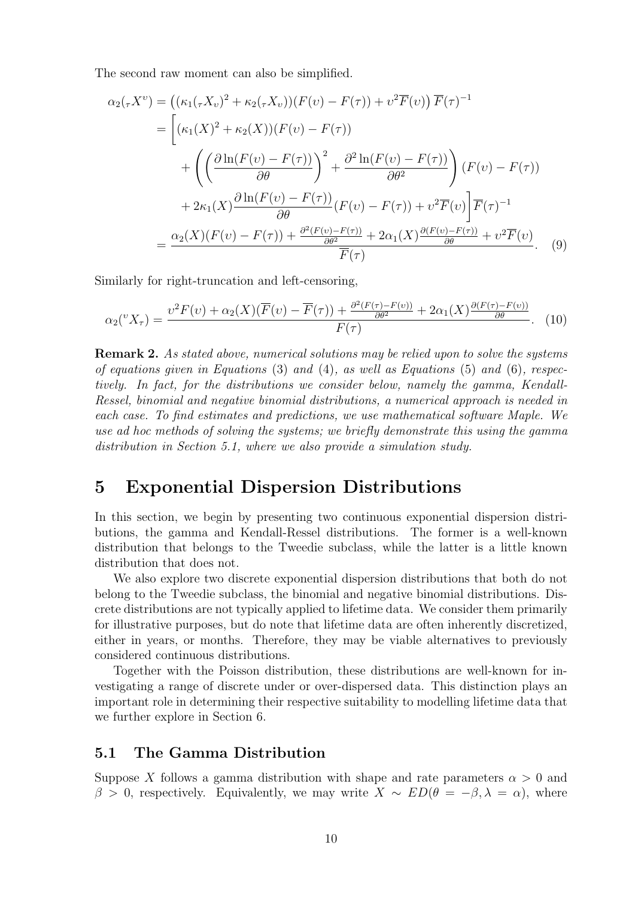The second raw moment can also be simplified.

$$
\alpha_2(\tau X^{\nu}) = ((\kappa_1(\tau X_{\nu})^2 + \kappa_2(\tau X_{\nu}))(F(\nu) - F(\tau)) + \nu^2 \overline{F}(\nu)) \overline{F}(\tau)^{-1}
$$
  
\n
$$
= \left[ (\kappa_1(X)^2 + \kappa_2(X))(F(\nu) - F(\tau)) + \left( \frac{\partial \ln(F(\nu) - F(\tau))}{\partial \theta} \right)^2 + \frac{\partial^2 \ln(F(\nu) - F(\tau))}{\partial \theta^2} \right) (F(\nu) - F(\tau)) + 2\kappa_1(X)\frac{\partial \ln(F(\nu) - F(\tau))}{\partial \theta} (F(\nu) - F(\tau)) + \nu^2 \overline{F}(\nu) \right] \overline{F}(\tau)^{-1}
$$
  
\n
$$
= \frac{\alpha_2(X)(F(\nu) - F(\tau)) + \frac{\partial^2(F(\nu) - F(\tau))}{\partial \theta^2} + 2\alpha_1(X)\frac{\partial(F(\nu) - F(\tau))}{\partial \theta} + \nu^2 \overline{F}(\nu)}{\overline{F}(\tau)}.
$$
 (9)

Similarly for right-truncation and left-censoring,

$$
\alpha_2(^vX_\tau) = \frac{v^2 F(v) + \alpha_2(X)(\overline{F}(v) - \overline{F}(\tau)) + \frac{\partial^2 (F(\tau) - F(v))}{\partial \theta^2} + 2\alpha_1(X)\frac{\partial (F(\tau) - F(v))}{\partial \theta}}{F(\tau)}.
$$
 (10)

Remark 2. As stated above, numerical solutions may be relied upon to solve the systems of equations given in Equations  $(3)$  and  $(4)$ , as well as Equations  $(5)$  and  $(6)$ , respectively. In fact, for the distributions we consider below, namely the gamma, Kendall-Ressel, binomial and negative binomial distributions, a numerical approach is needed in each case. To find estimates and predictions, we use mathematical software Maple. We use ad hoc methods of solving the systems; we briefly demonstrate this using the gamma distribution in Section 5.1, where we also provide a simulation study.

## 5 Exponential Dispersion Distributions

In this section, we begin by presenting two continuous exponential dispersion distributions, the gamma and Kendall-Ressel distributions. The former is a well-known distribution that belongs to the Tweedie subclass, while the latter is a little known distribution that does not.

We also explore two discrete exponential dispersion distributions that both do not belong to the Tweedie subclass, the binomial and negative binomial distributions. Discrete distributions are not typically applied to lifetime data. We consider them primarily for illustrative purposes, but do note that lifetime data are often inherently discretized, either in years, or months. Therefore, they may be viable alternatives to previously considered continuous distributions.

Together with the Poisson distribution, these distributions are well-known for investigating a range of discrete under or over-dispersed data. This distinction plays an important role in determining their respective suitability to modelling lifetime data that we further explore in Section 6.

#### 5.1 The Gamma Distribution

Suppose X follows a gamma distribution with shape and rate parameters  $\alpha > 0$  and  $\beta > 0$ , respectively. Equivalently, we may write  $X \sim ED(\theta = -\beta, \lambda = \alpha)$ , where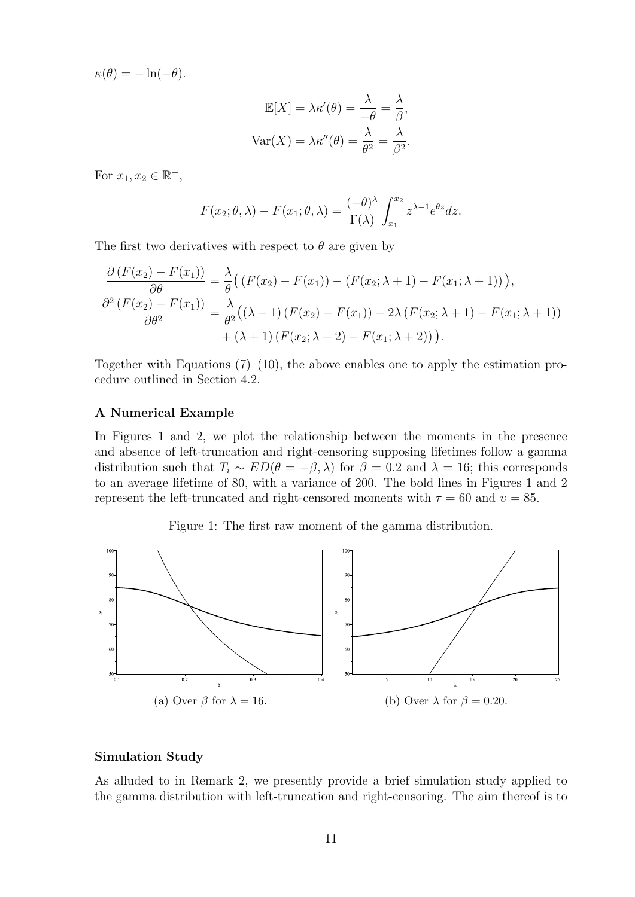$\kappa(\theta) = -\ln(-\theta).$ 

$$
\mathbb{E}[X] = \lambda \kappa'(\theta) = \frac{\lambda}{-\theta} = \frac{\lambda}{\beta},
$$

$$
\text{Var}(X) = \lambda \kappa''(\theta) = \frac{\lambda}{\theta^2} = \frac{\lambda}{\beta^2}.
$$

For  $x_1, x_2 \in \mathbb{R}^+,$ 

$$
F(x_2; \theta, \lambda) - F(x_1; \theta, \lambda) = \frac{(-\theta)^{\lambda}}{\Gamma(\lambda)} \int_{x_1}^{x_2} z^{\lambda - 1} e^{\theta z} dz.
$$

The first two derivatives with respect to  $\theta$  are given by

$$
\frac{\partial (F(x_2) - F(x_1))}{\partial \theta} = \frac{\lambda}{\theta} ((F(x_2) - F(x_1)) - (F(x_2; \lambda + 1) - F(x_1; \lambda + 1))),
$$
  

$$
\frac{\partial^2 (F(x_2) - F(x_1))}{\partial \theta^2} = \frac{\lambda}{\theta^2} ((\lambda - 1) (F(x_2) - F(x_1)) - 2\lambda (F(x_2; \lambda + 1) - F(x_1; \lambda + 1)) + (\lambda + 1) (F(x_2; \lambda + 2) - F(x_1; \lambda + 2))).
$$

Together with Equations  $(7)$ – $(10)$ , the above enables one to apply the estimation procedure outlined in Section 4.2.

#### A Numerical Example

In Figures 1 and 2, we plot the relationship between the moments in the presence and absence of left-truncation and right-censoring supposing lifetimes follow a gamma distribution such that  $T_i \sim ED(\theta = -\beta, \lambda)$  for  $\beta = 0.2$  and  $\lambda = 16$ ; this corresponds to an average lifetime of 80, with a variance of 200. The bold lines in Figures 1 and 2 represent the left-truncated and right-censored moments with  $\tau = 60$  and  $v = 85$ .

Figure 1: The first raw moment of the gamma distribution.



#### Simulation Study

As alluded to in Remark 2, we presently provide a brief simulation study applied to the gamma distribution with left-truncation and right-censoring. The aim thereof is to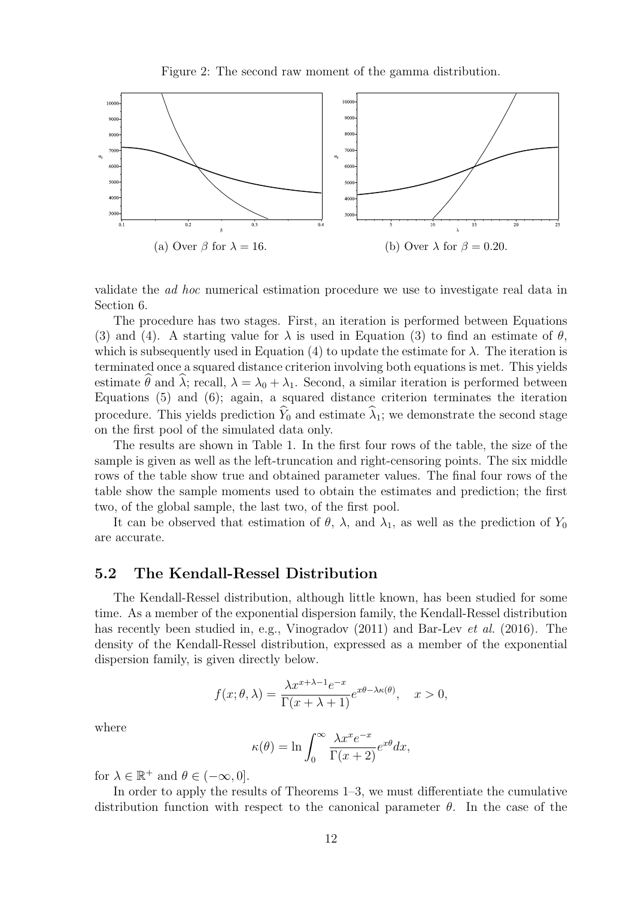Figure 2: The second raw moment of the gamma distribution.



validate the ad hoc numerical estimation procedure we use to investigate real data in Section 6.

The procedure has two stages. First, an iteration is performed between Equations (3) and (4). A starting value for  $\lambda$  is used in Equation (3) to find an estimate of  $\theta$ , which is subsequently used in Equation (4) to update the estimate for  $\lambda$ . The iteration is terminated once a squared distance criterion involving both equations is met. This yields estimate  $\theta$  and  $\lambda$ ; recall,  $\lambda = \lambda_0 + \lambda_1$ . Second, a similar iteration is performed between Equations (5) and (6); again, a squared distance criterion terminates the iteration procedure. This yields prediction  $\widehat{Y}_0$  and estimate  $\widehat{\lambda}_1$ ; we demonstrate the second stage on the first pool of the simulated data only.

The results are shown in Table 1. In the first four rows of the table, the size of the sample is given as well as the left-truncation and right-censoring points. The six middle rows of the table show true and obtained parameter values. The final four rows of the table show the sample moments used to obtain the estimates and prediction; the first two, of the global sample, the last two, of the first pool.

It can be observed that estimation of  $\theta$ ,  $\lambda$ , and  $\lambda_1$ , as well as the prediction of  $Y_0$ are accurate.

#### 5.2 The Kendall-Ressel Distribution

The Kendall-Ressel distribution, although little known, has been studied for some time. As a member of the exponential dispersion family, the Kendall-Ressel distribution has recently been studied in, e.g., Vinogradov (2011) and Bar-Lev *et al.* (2016). The density of the Kendall-Ressel distribution, expressed as a member of the exponential dispersion family, is given directly below.

$$
f(x; \theta, \lambda) = \frac{\lambda x^{x + \lambda - 1} e^{-x}}{\Gamma(x + \lambda + 1)} e^{x\theta - \lambda \kappa(\theta)}, \quad x > 0,
$$

where

$$
\kappa(\theta) = \ln \int_0^\infty \frac{\lambda x^x e^{-x}}{\Gamma(x+2)} e^{x\theta} dx,
$$

for  $\lambda \in \mathbb{R}^+$  and  $\theta \in (-\infty, 0]$ .

In order to apply the results of Theorems 1–3, we must differentiate the cumulative distribution function with respect to the canonical parameter  $\theta$ . In the case of the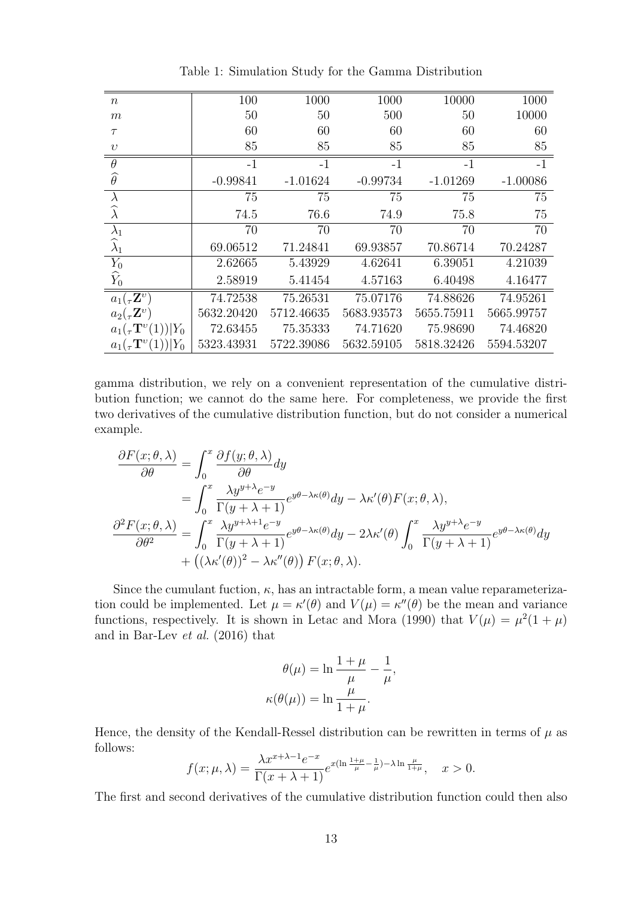| $\boldsymbol{n}$                   | 100        | 1000       | 1000       | 10000      | 1000       |
|------------------------------------|------------|------------|------------|------------|------------|
| $\boldsymbol{m}$                   | 50         | 50         | 500        | 50         | 10000      |
|                                    |            |            |            |            |            |
| $\tau$                             | 60         | 60         | 60         | 60         | 60         |
| $\upsilon$                         | 85         | 85         | 85         | 85         | 85         |
| $\theta$                           | $-1$       | $-1$       | $-1$       | $-1$       | $-1$       |
| $\widehat{\theta}$                 | $-0.99841$ | $-1.01624$ | $-0.99734$ | $-1.01269$ | $-1.00086$ |
| $\lambda$                          | 75         | 75         | 75         | 75         | 75         |
| $\widehat{\lambda}$                | 74.5       | 76.6       | 74.9       | 75.8       | 75         |
| $\lambda_1$                        | 70         | 70         | 70         | 70         | 70         |
| $\widehat{\lambda}_1$              | 69.06512   | 71.24841   | 69.93857   | 70.86714   | 70.24287   |
| $Y_0$                              | 2.62665    | 5.43929    | 4.62641    | 6.39051    | 4.21039    |
| $\widehat{Y}_0$                    | 2.58919    | 5.41454    | 4.57163    | 6.40498    | 4.16477    |
| $a_1(\tau \mathbf{Z}^v)$           | 74.72538   | 75.26531   | 75.07176   | 74.88626   | 74.95261   |
| $a_2(\tau \mathbf{Z}^v)$           | 5632.20420 | 5712.46635 | 5683.93573 | 5655.75911 | 5665.99757 |
| $a_1(\tau \mathbf{T}^v(1)) Y_0$    | 72.63455   | 75.35333   | 74.71620   | 75.98690   | 74.46820   |
| $a_1({}_\tau \mathbf{T}^v(1)) Y_0$ | 5323.43931 | 5722.39086 | 5632.59105 | 5818.32426 | 5594.53207 |

Table 1: Simulation Study for the Gamma Distribution

gamma distribution, we rely on a convenient representation of the cumulative distribution function; we cannot do the same here. For completeness, we provide the first two derivatives of the cumulative distribution function, but do not consider a numerical example.

$$
\frac{\partial F(x;\theta,\lambda)}{\partial \theta} = \int_0^x \frac{\partial f(y;\theta,\lambda)}{\partial \theta} dy \n= \int_0^x \frac{\lambda y^{y+\lambda} e^{-y}}{\Gamma(y+\lambda+1)} e^{y\theta-\lambda \kappa(\theta)} dy - \lambda \kappa'(\theta) F(x;\theta,\lambda),\n\frac{\partial^2 F(x;\theta,\lambda)}{\partial \theta^2} = \int_0^x \frac{\lambda y^{y+\lambda+1} e^{-y}}{\Gamma(y+\lambda+1)} e^{y\theta-\lambda \kappa(\theta)} dy - 2\lambda \kappa'(\theta) \int_0^x \frac{\lambda y^{y+\lambda} e^{-y}}{\Gamma(y+\lambda+1)} e^{y\theta-\lambda \kappa(\theta)} dy \n+ ((\lambda \kappa'(\theta))^2 - \lambda \kappa''(\theta)) F(x;\theta,\lambda).
$$

Since the cumulant fuction,  $\kappa$ , has an intractable form, a mean value reparameterization could be implemented. Let  $\mu = \kappa'(\theta)$  and  $V(\mu) = \kappa''(\theta)$  be the mean and variance functions, respectively. It is shown in Letac and Mora (1990) that  $V(\mu) = \mu^2(1+\mu)$ and in Bar-Lev et al. (2016) that

$$
\theta(\mu) = \ln \frac{1+\mu}{\mu} - \frac{1}{\mu},
$$

$$
\kappa(\theta(\mu)) = \ln \frac{\mu}{1+\mu}.
$$

Hence, the density of the Kendall-Ressel distribution can be rewritten in terms of  $\mu$  as follows:

$$
f(x; \mu, \lambda) = \frac{\lambda x^{x+\lambda-1} e^{-x}}{\Gamma(x+\lambda+1)} e^{x(\ln\frac{1+\mu}{\mu}-\frac{1}{\mu})-\lambda\ln\frac{\mu}{1+\mu}}, \quad x > 0.
$$

The first and second derivatives of the cumulative distribution function could then also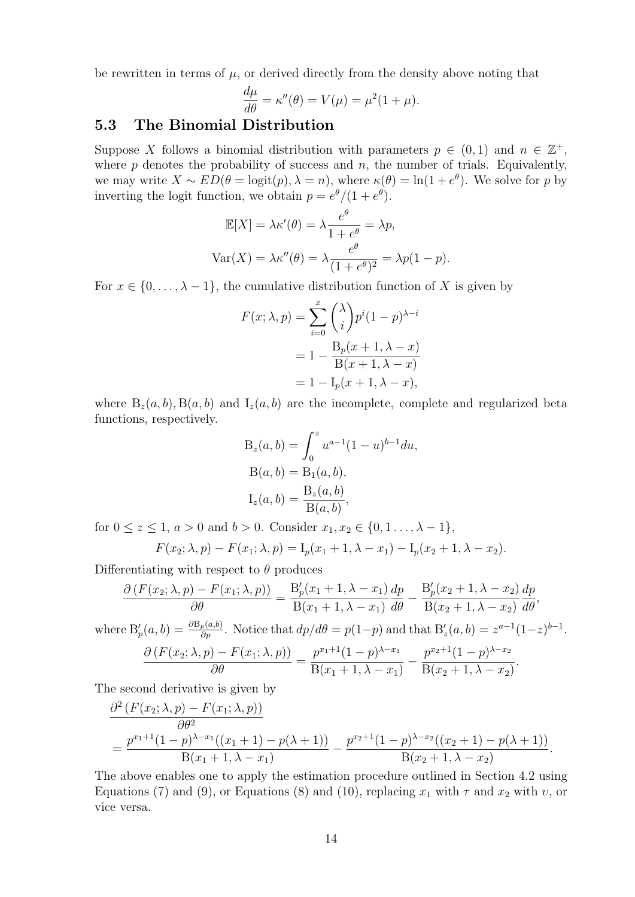be rewritten in terms of  $\mu$ , or derived directly from the density above noting that

$$
\frac{d\mu}{d\theta} = \kappa''(\theta) = V(\mu) = \mu^2(1+\mu).
$$

#### 5.3 The Binomial Distribution

Suppose X follows a binomial distribution with parameters  $p \in (0,1)$  and  $n \in \mathbb{Z}^+$ , where  $p$  denotes the probability of success and  $n$ , the number of trials. Equivalently, we may write  $X \sim ED(\theta = \text{logit}(p), \lambda = n)$ , where  $\kappa(\theta) = \ln(1 + e^{\theta})$ . We solve for p by inverting the logit function, we obtain  $p = e^{\theta}/(1 + e^{\theta})$ .

$$
\mathbb{E}[X] = \lambda \kappa'(\theta) = \lambda \frac{e^{\theta}}{1 + e^{\theta}} = \lambda p,
$$
  
 
$$
\text{Var}(X) = \lambda \kappa''(\theta) = \lambda \frac{e^{\theta}}{(1 + e^{\theta})^2} = \lambda p(1 - p).
$$

For  $x \in \{0, \ldots, \lambda - 1\}$ , the cumulative distribution function of X is given by

$$
F(x; \lambda, p) = \sum_{i=0}^{x} {\lambda \choose i} p^{i} (1-p)^{\lambda - i}
$$

$$
= 1 - \frac{B_p(x+1, \lambda - x)}{B(x+1, \lambda - x)}
$$

$$
= 1 - I_p(x+1, \lambda - x),
$$

where  $B_z(a, b)$ ,  $B(a, b)$  and  $I_z(a, b)$  are the incomplete, complete and regularized beta functions, respectively.

$$
B_z(a, b) = \int_0^z u^{a-1} (1 - u)^{b-1} du,
$$
  
\n
$$
B(a, b) = B_1(a, b),
$$
  
\n
$$
I_z(a, b) = \frac{B_z(a, b)}{B(a, b)},
$$

for  $0 \le z \le 1$ ,  $a > 0$  and  $b > 0$ . Consider  $x_1, x_2 \in \{0, 1, ..., \lambda - 1\}$ ,

$$
F(x_2; \lambda, p) - F(x_1; \lambda, p) = I_p(x_1 + 1, \lambda - x_1) - I_p(x_2 + 1, \lambda - x_2).
$$

Differentiating with respect to  $\theta$  produces

$$
\frac{\partial (F(x_2; \lambda, p) - F(x_1; \lambda, p))}{\partial \theta} = \frac{B_p'(x_1 + 1, \lambda - x_1)}{B(x_1 + 1, \lambda - x_1)} \frac{dp}{d\theta} - \frac{B_p'(x_2 + 1, \lambda - x_2)}{B(x_2 + 1, \lambda - x_2)} \frac{dp}{d\theta},
$$

where  $B'_p(a, b) = \frac{\partial B_p(a, b)}{\partial p}$ . Notice that  $dp/d\theta = p(1-p)$  and that  $B'_z(a, b) = z^{a-1}(1-z)^{b-1}$ .

$$
\frac{\partial (F(x_2; \lambda, p) - F(x_1; \lambda, p))}{\partial \theta} = \frac{p^{x_1+1}(1-p)^{\lambda-x_1}}{B(x_1+1, \lambda-x_1)} - \frac{p^{x_2+1}(1-p)^{\lambda-x_2}}{B(x_2+1, \lambda-x_2)}.
$$

The second derivative is given by

$$
\frac{\partial^2 (F(x_2; \lambda, p) - F(x_1; \lambda, p))}{\partial \theta^2} = \frac{p^{x_1+1} (1-p)^{\lambda-x_1} ((x_1+1) - p(\lambda+1))}{B(x_1+1, \lambda-x_1)} - \frac{p^{x_2+1} (1-p)^{\lambda-x_2} ((x_2+1) - p(\lambda+1))}{B(x_2+1, \lambda-x_2)}.
$$

The above enables one to apply the estimation procedure outlined in Section 4.2 using Equations (7) and (9), or Equations (8) and (10), replacing  $x_1$  with  $\tau$  and  $x_2$  with  $v$ , or vice versa.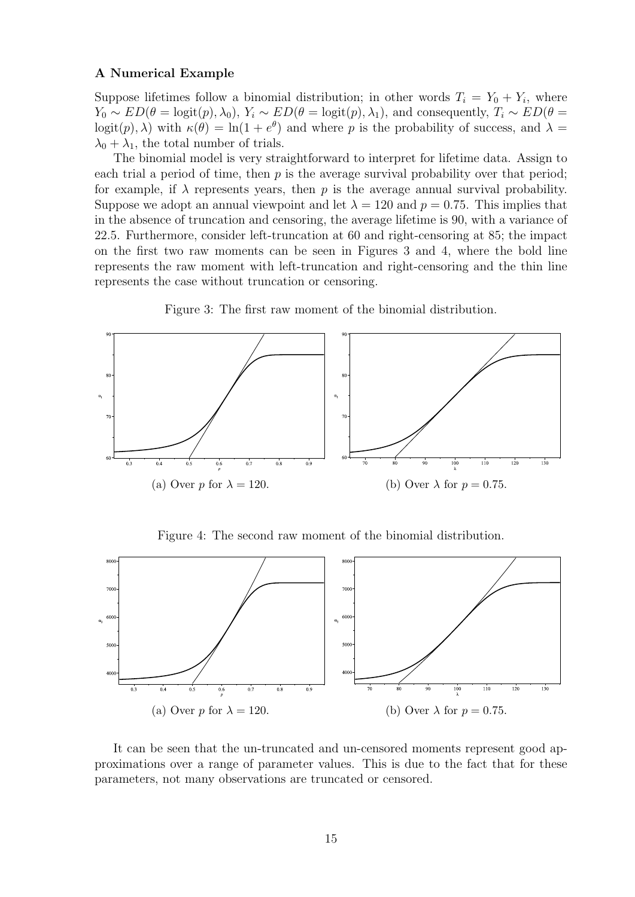#### A Numerical Example

Suppose lifetimes follow a binomial distribution; in other words  $T_i = Y_0 + Y_i$ , where  $Y_0 \sim ED(\theta = \text{logit}(p), \lambda_0), Y_i \sim ED(\theta = \text{logit}(p), \lambda_1)$ , and consequently,  $T_i \sim ED(\theta =$ logit $(p)$ ,  $\lambda$ ) with  $\kappa(\theta) = \ln(1 + e^{\theta})$  and where p is the probability of success, and  $\lambda =$  $\lambda_0 + \lambda_1$ , the total number of trials.

The binomial model is very straightforward to interpret for lifetime data. Assign to each trial a period of time, then  $p$  is the average survival probability over that period; for example, if  $\lambda$  represents years, then p is the average annual survival probability. Suppose we adopt an annual viewpoint and let  $\lambda = 120$  and  $p = 0.75$ . This implies that in the absence of truncation and censoring, the average lifetime is 90, with a variance of 22.5. Furthermore, consider left-truncation at 60 and right-censoring at 85; the impact on the first two raw moments can be seen in Figures 3 and 4, where the bold line represents the raw moment with left-truncation and right-censoring and the thin line represents the case without truncation or censoring.



Figure 3: The first raw moment of the binomial distribution.

Figure 4: The second raw moment of the binomial distribution.



It can be seen that the un-truncated and un-censored moments represent good approximations over a range of parameter values. This is due to the fact that for these parameters, not many observations are truncated or censored.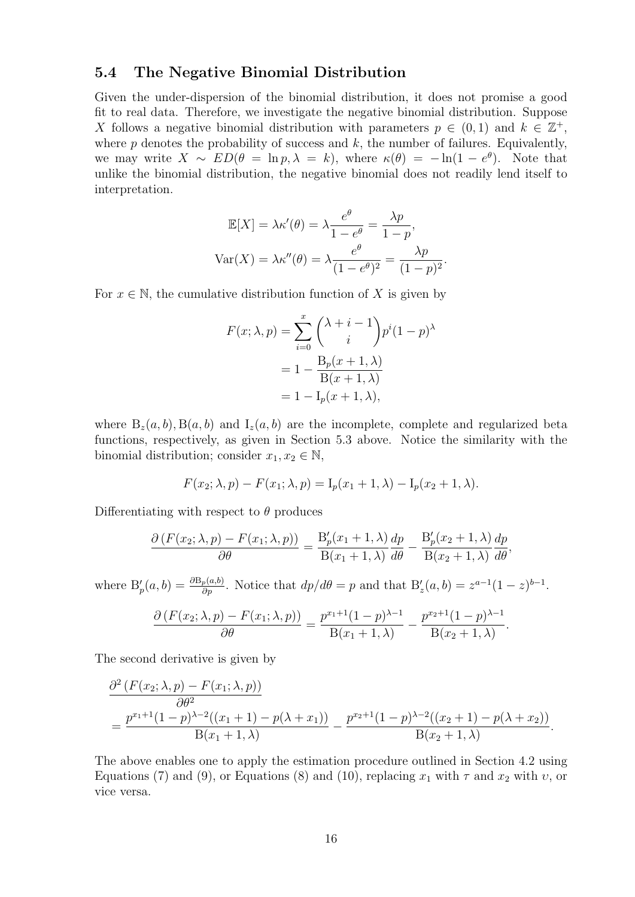#### 5.4 The Negative Binomial Distribution

Given the under-dispersion of the binomial distribution, it does not promise a good fit to real data. Therefore, we investigate the negative binomial distribution. Suppose X follows a negative binomial distribution with parameters  $p \in (0,1)$  and  $k \in \mathbb{Z}^+$ , where  $p$  denotes the probability of success and  $k$ , the number of failures. Equivalently, we may write  $X \sim ED(\theta = \ln p, \lambda = k)$ , where  $\kappa(\theta) = -\ln(1 - e^{\theta})$ . Note that unlike the binomial distribution, the negative binomial does not readily lend itself to interpretation.

$$
\mathbb{E}[X] = \lambda \kappa'(\theta) = \lambda \frac{e^{\theta}}{1 - e^{\theta}} = \frac{\lambda p}{1 - p},
$$

$$
\text{Var}(X) = \lambda \kappa''(\theta) = \lambda \frac{e^{\theta}}{(1 - e^{\theta})^2} = \frac{\lambda p}{(1 - p)^2}.
$$

For  $x \in \mathbb{N}$ , the cumulative distribution function of X is given by

$$
F(x; \lambda, p) = \sum_{i=0}^{x} {\lambda + i - 1 \choose i} p^{i} (1-p)^{\lambda}
$$

$$
= 1 - \frac{B_p(x+1, \lambda)}{B(x+1, \lambda)}
$$

$$
= 1 - I_p(x+1, \lambda),
$$

where  $B_z(a, b), B(a, b)$  and  $I_z(a, b)$  are the incomplete, complete and regularized beta functions, respectively, as given in Section 5.3 above. Notice the similarity with the binomial distribution; consider  $x_1, x_2 \in \mathbb{N}$ ,

$$
F(x_2; \lambda, p) - F(x_1; \lambda, p) = I_p(x_1 + 1, \lambda) - I_p(x_2 + 1, \lambda).
$$

Differentiating with respect to  $\theta$  produces

$$
\frac{\partial (F(x_2; \lambda, p) - F(x_1; \lambda, p))}{\partial \theta} = \frac{B_p'(x_1 + 1, \lambda)}{B(x_1 + 1, \lambda)} \frac{dp}{d\theta} - \frac{B_p'(x_2 + 1, \lambda)}{B(x_2 + 1, \lambda)} \frac{dp}{d\theta},
$$

where  $B'_p(a,b) = \frac{\partial B_p(a,b)}{\partial p}$ . Notice that  $dp/d\theta = p$  and that  $B'_z(a,b) = z^{a-1}(1-z)^{b-1}$ .

$$
\frac{\partial (F(x_2; \lambda, p) - F(x_1; \lambda, p))}{\partial \theta} = \frac{p^{x_1+1}(1-p)^{\lambda-1}}{B(x_1+1, \lambda)} - \frac{p^{x_2+1}(1-p)^{\lambda-1}}{B(x_2+1, \lambda)}.
$$

The second derivative is given by

$$
\frac{\partial^2 (F(x_2; \lambda, p) - F(x_1; \lambda, p))}{\partial \theta^2} = \frac{p^{x_1+1} (1-p)^{\lambda-2} ((x_1+1) - p(\lambda+x_1))}{B(x_1+1, \lambda)} - \frac{p^{x_2+1} (1-p)^{\lambda-2} ((x_2+1) - p(\lambda+x_2))}{B(x_2+1, \lambda)}.
$$

The above enables one to apply the estimation procedure outlined in Section 4.2 using Equations (7) and (9), or Equations (8) and (10), replacing  $x_1$  with  $\tau$  and  $x_2$  with  $v$ , or vice versa.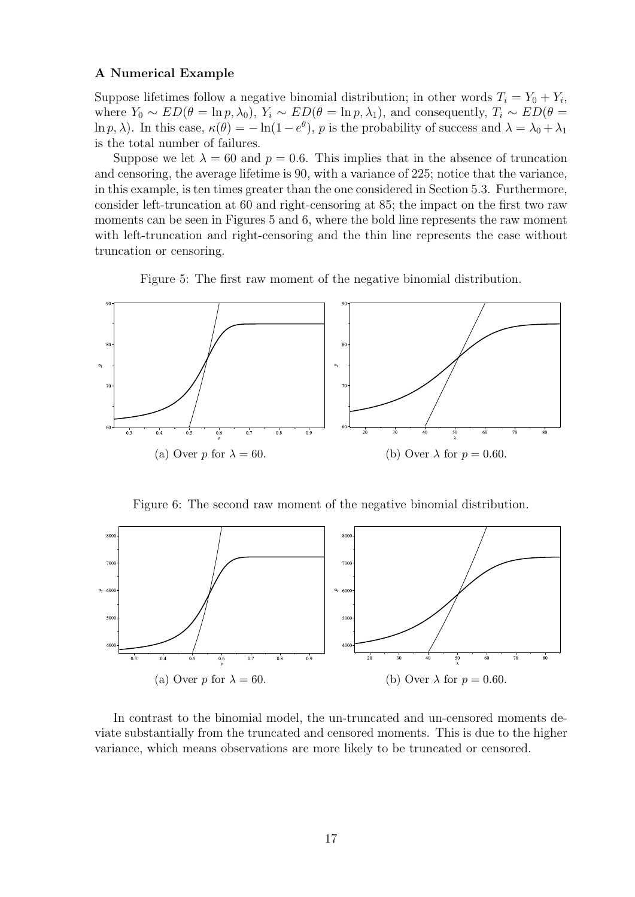#### A Numerical Example

Suppose lifetimes follow a negative binomial distribution; in other words  $T_i = Y_0 + Y_i$ , where  $Y_0 \sim ED(\theta = \ln p, \lambda_0)$ ,  $Y_i \sim ED(\theta = \ln p, \lambda_1)$ , and consequently,  $T_i \sim ED(\theta =$ ln p,  $\lambda$ ). In this case,  $\kappa(\theta) = -\ln(1-e^{\theta})$ , p is the probability of success and  $\lambda = \lambda_0 + \lambda_1$ is the total number of failures.

Suppose we let  $\lambda = 60$  and  $p = 0.6$ . This implies that in the absence of truncation and censoring, the average lifetime is 90, with a variance of 225; notice that the variance, in this example, is ten times greater than the one considered in Section 5.3. Furthermore, consider left-truncation at 60 and right-censoring at 85; the impact on the first two raw moments can be seen in Figures 5 and 6, where the bold line represents the raw moment with left-truncation and right-censoring and the thin line represents the case without truncation or censoring.





Figure 6: The second raw moment of the negative binomial distribution.



In contrast to the binomial model, the un-truncated and un-censored moments deviate substantially from the truncated and censored moments. This is due to the higher variance, which means observations are more likely to be truncated or censored.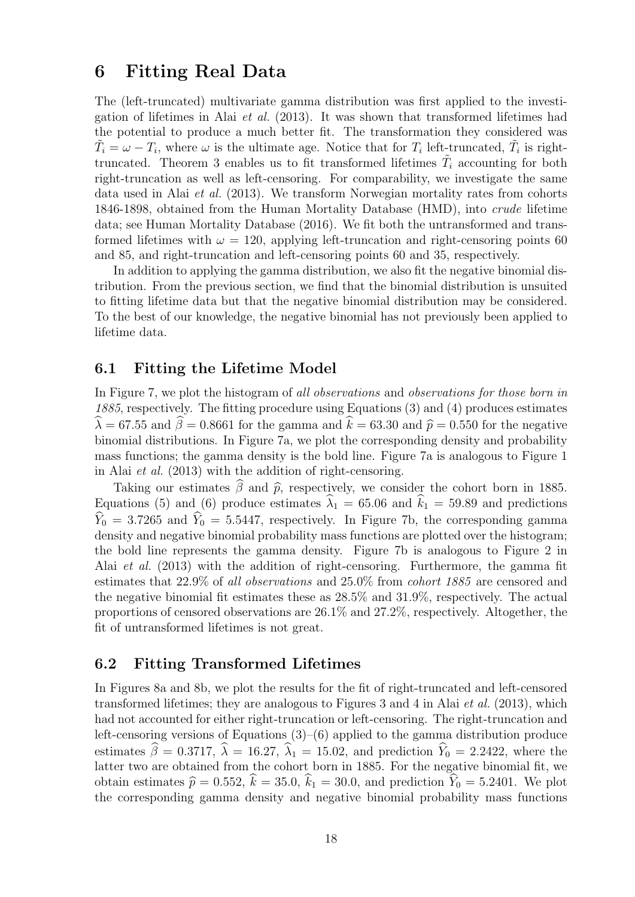## 6 Fitting Real Data

The (left-truncated) multivariate gamma distribution was first applied to the investigation of lifetimes in Alai et al. (2013). It was shown that transformed lifetimes had the potential to produce a much better fit. The transformation they considered was  $\tilde{T}_i = \omega - T_i$ , where  $\omega$  is the ultimate age. Notice that for  $T_i$  left-truncated,  $\tilde{T}_i$  is righttruncated. Theorem 3 enables us to fit transformed lifetimes  $\tilde{T}_i$  accounting for both right-truncation as well as left-censoring. For comparability, we investigate the same data used in Alai et al. (2013). We transform Norwegian mortality rates from cohorts 1846-1898, obtained from the Human Mortality Database (HMD), into crude lifetime data; see Human Mortality Database (2016). We fit both the untransformed and transformed lifetimes with  $\omega = 120$ , applying left-truncation and right-censoring points 60 and 85, and right-truncation and left-censoring points 60 and 35, respectively.

In addition to applying the gamma distribution, we also fit the negative binomial distribution. From the previous section, we find that the binomial distribution is unsuited to fitting lifetime data but that the negative binomial distribution may be considered. To the best of our knowledge, the negative binomial has not previously been applied to lifetime data.

#### 6.1 Fitting the Lifetime Model

In Figure 7, we plot the histogram of all observations and observations for those born in 1885, respectively. The fitting procedure using Equations (3) and (4) produces estimates  $\widehat{\lambda} = 67.55$  and  $\widehat{\beta} = 0.8661$  for the gamma and  $\widehat{k} = 63.30$  and  $\widehat{p} = 0.550$  for the negative binomial distributions. In Figure 7a, we plot the corresponding density and probability mass functions; the gamma density is the bold line. Figure 7a is analogous to Figure 1 in Alai et al. (2013) with the addition of right-censoring.

Taking our estimates  $\widehat{\beta}$  and  $\widehat{p}$ , respectively, we consider the cohort born in 1885. Equations (5) and (6) produce estimates  $\hat{\lambda}_1 = 65.06$  and  $\hat{k}_1 = 59.89$  and predictions  $\hat{Y}_0 = 3.7265$  and  $\hat{Y}_0 = 5.5447$ , respectively. In Figure 7b, the corresponding gamma density and negative binomial probability mass functions are plotted over the histogram; the bold line represents the gamma density. Figure 7b is analogous to Figure 2 in Alai et al. (2013) with the addition of right-censoring. Furthermore, the gamma fit estimates that 22.9% of all observations and 25.0% from cohort 1885 are censored and the negative binomial fit estimates these as 28.5% and 31.9%, respectively. The actual proportions of censored observations are 26.1% and 27.2%, respectively. Altogether, the fit of untransformed lifetimes is not great.

#### 6.2 Fitting Transformed Lifetimes

In Figures 8a and 8b, we plot the results for the fit of right-truncated and left-censored transformed lifetimes; they are analogous to Figures 3 and 4 in Alai et al. (2013), which had not accounted for either right-truncation or left-censoring. The right-truncation and left-censoring versions of Equations (3)–(6) applied to the gamma distribution produce estimates  $\hat{\beta} = 0.3717$ ,  $\hat{\lambda} = 16.27$ ,  $\hat{\lambda}_1 = 15.02$ , and prediction  $\hat{Y}_0 = 2.2422$ , where the latter two are obtained from the cohort born in 1885. For the negative binomial fit, we obtain estimates  $\hat{p} = 0.552, k = 35.0, k_1 = 30.0$ , and prediction  $Y_0 = 5.2401$ . We plot the corresponding gamma density and negative binomial probability mass functions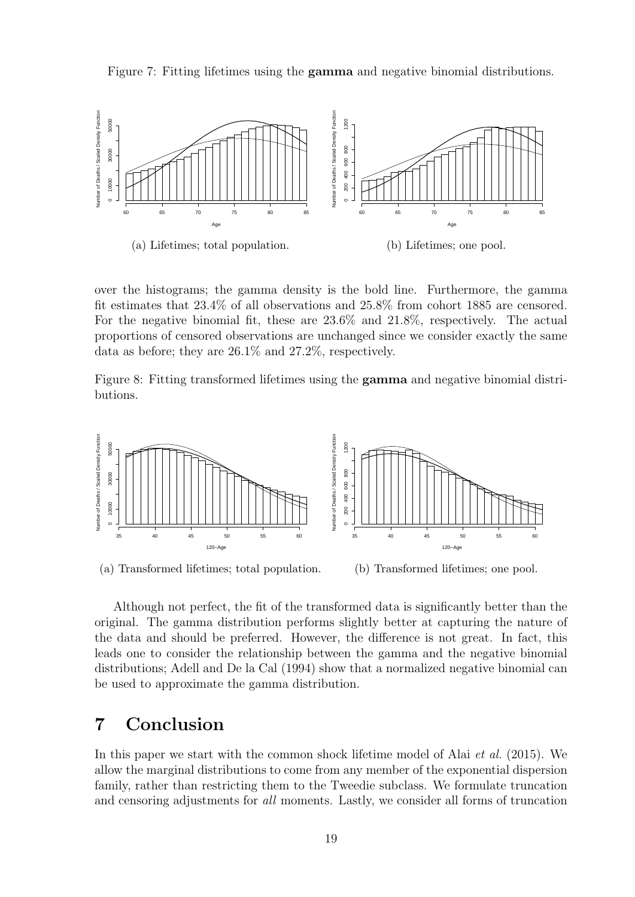Figure 7: Fitting lifetimes using the gamma and negative binomial distributions.



over the histograms; the gamma density is the bold line. Furthermore, the gamma fit estimates that 23.4% of all observations and 25.8% from cohort 1885 are censored. For the negative binomial fit, these are 23.6% and 21.8%, respectively. The actual proportions of censored observations are unchanged since we consider exactly the same data as before; they are 26.1% and 27.2%, respectively.

Figure 8: Fitting transformed lifetimes using the gamma and negative binomial distributions.



(a) Transformed lifetimes; total population. (b) Transformed lifetimes; one pool.

Although not perfect, the fit of the transformed data is significantly better than the original. The gamma distribution performs slightly better at capturing the nature of the data and should be preferred. However, the difference is not great. In fact, this leads one to consider the relationship between the gamma and the negative binomial distributions; Adell and De la Cal (1994) show that a normalized negative binomial can be used to approximate the gamma distribution.

## 7 Conclusion

In this paper we start with the common shock lifetime model of Alai *et al.* (2015). We allow the marginal distributions to come from any member of the exponential dispersion family, rather than restricting them to the Tweedie subclass. We formulate truncation and censoring adjustments for all moments. Lastly, we consider all forms of truncation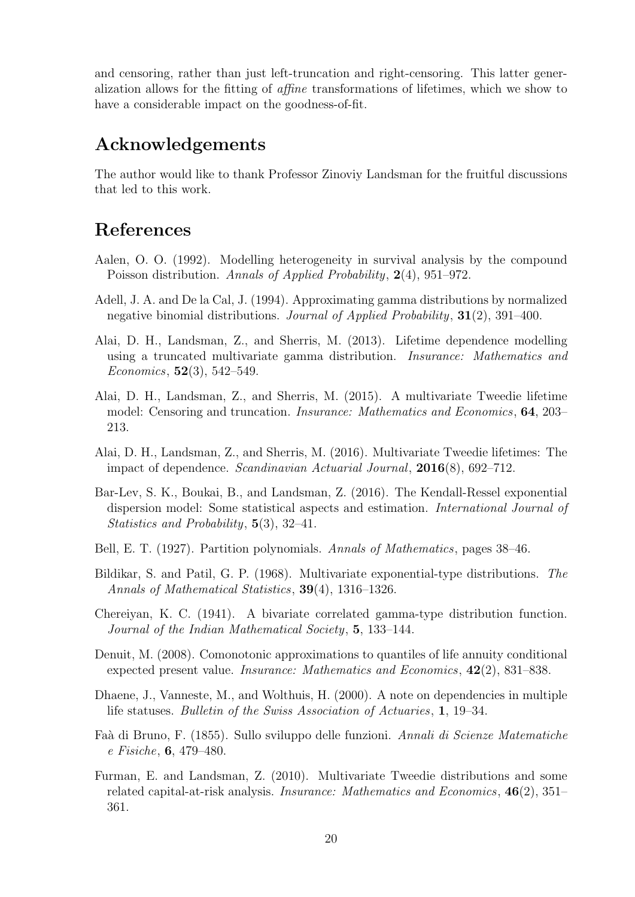and censoring, rather than just left-truncation and right-censoring. This latter generalization allows for the fitting of affine transformations of lifetimes, which we show to have a considerable impact on the goodness-of-fit.

## Acknowledgements

The author would like to thank Professor Zinoviy Landsman for the fruitful discussions that led to this work.

## References

- Aalen, O. O. (1992). Modelling heterogeneity in survival analysis by the compound Poisson distribution. Annals of Applied Probability, 2(4), 951–972.
- Adell, J. A. and De la Cal, J. (1994). Approximating gamma distributions by normalized negative binomial distributions. Journal of Applied Probability, 31(2), 391–400.
- Alai, D. H., Landsman, Z., and Sherris, M. (2013). Lifetime dependence modelling using a truncated multivariate gamma distribution. Insurance: Mathematics and Economics,  $52(3)$ ,  $542-549$ .
- Alai, D. H., Landsman, Z., and Sherris, M. (2015). A multivariate Tweedie lifetime model: Censoring and truncation. Insurance: Mathematics and Economics, 64, 203– 213.
- Alai, D. H., Landsman, Z., and Sherris, M. (2016). Multivariate Tweedie lifetimes: The impact of dependence. Scandinavian Actuarial Journal, 2016(8), 692–712.
- Bar-Lev, S. K., Boukai, B., and Landsman, Z. (2016). The Kendall-Ressel exponential dispersion model: Some statistical aspects and estimation. International Journal of Statistics and Probability, 5(3), 32–41.
- Bell, E. T. (1927). Partition polynomials. Annals of Mathematics, pages 38–46.
- Bildikar, S. and Patil, G. P. (1968). Multivariate exponential-type distributions. The Annals of Mathematical Statistics, 39(4), 1316–1326.
- Chereiyan, K. C. (1941). A bivariate correlated gamma-type distribution function. Journal of the Indian Mathematical Society, 5, 133–144.
- Denuit, M. (2008). Comonotonic approximations to quantiles of life annuity conditional expected present value. Insurance: Mathematics and Economics, 42(2), 831–838.
- Dhaene, J., Vanneste, M., and Wolthuis, H. (2000). A note on dependencies in multiple life statuses. Bulletin of the Swiss Association of Actuaries, 1, 19–34.
- Fa`a di Bruno, F. (1855). Sullo sviluppo delle funzioni. Annali di Scienze Matematiche e Fisiche, 6, 479–480.
- Furman, E. and Landsman, Z. (2010). Multivariate Tweedie distributions and some related capital-at-risk analysis. Insurance: Mathematics and Economics, 46(2), 351– 361.